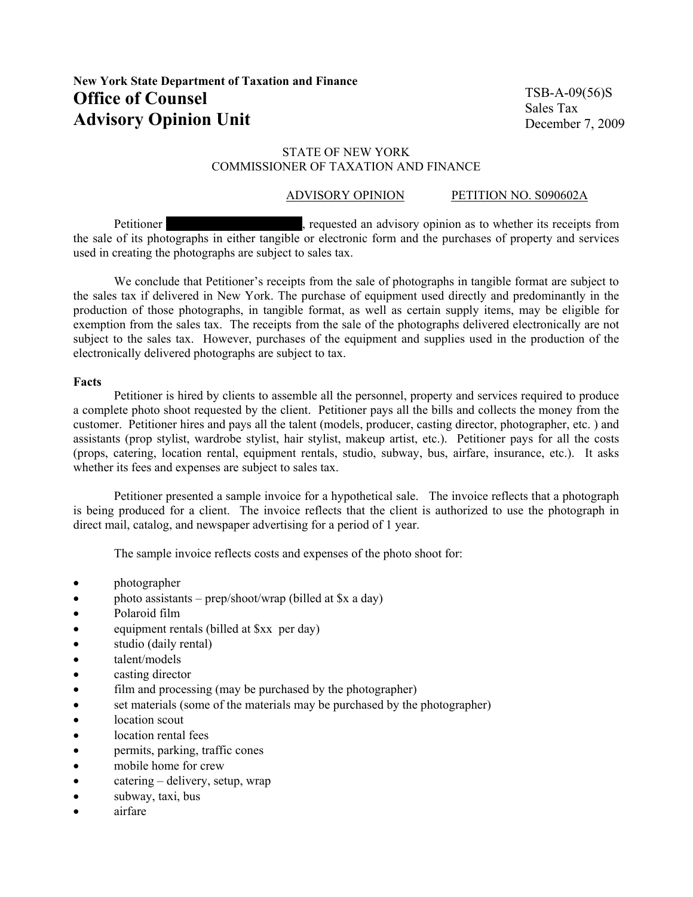TSB-A-09(56)S Sales Tax December 7, 2009

# STATE OF NEW YORK COMMISSIONER OF TAXATION AND FINANCE

# ADVISORY OPINION PETITION NO. S090602A

Petitioner name and advisory opinion as to whether its receipts from  $\alpha$ the sale of its photographs in either tangible or electronic form and the purchases of property and services used in creating the photographs are subject to sales tax.

We conclude that Petitioner's receipts from the sale of photographs in tangible format are subject to the sales tax if delivered in New York. The purchase of equipment used directly and predominantly in the production of those photographs, in tangible format, as well as certain supply items, may be eligible for exemption from the sales tax. The receipts from the sale of the photographs delivered electronically are not subject to the sales tax. However, purchases of the equipment and supplies used in the production of the electronically delivered photographs are subject to tax.

### **Facts**

Petitioner is hired by clients to assemble all the personnel, property and services required to produce a complete photo shoot requested by the client. Petitioner pays all the bills and collects the money from the customer. Petitioner hires and pays all the talent (models, producer, casting director, photographer, etc. ) and assistants (prop stylist, wardrobe stylist, hair stylist, makeup artist, etc.). Petitioner pays for all the costs (props, catering, location rental, equipment rentals, studio, subway, bus, airfare, insurance, etc.). It asks whether its fees and expenses are subject to sales tax.

Petitioner presented a sample invoice for a hypothetical sale. The invoice reflects that a photograph is being produced for a client. The invoice reflects that the client is authorized to use the photograph in direct mail, catalog, and newspaper advertising for a period of 1 year.

The sample invoice reflects costs and expenses of the photo shoot for:

- *photographer*
- photo assistants prep/shoot/wrap (billed at \$x a day)
- Polaroid film
- equipment rentals (billed at \$xx per day)
- studio (daily rental)
- talent/models
- casting director
- film and processing (may be purchased by the photographer)
- set materials (some of the materials may be purchased by the photographer)
- location scout
- location rental fees
- permits, parking, traffic cones
- mobile home for crew
- catering delivery, setup, wrap
- subway, taxi, bus
- airfare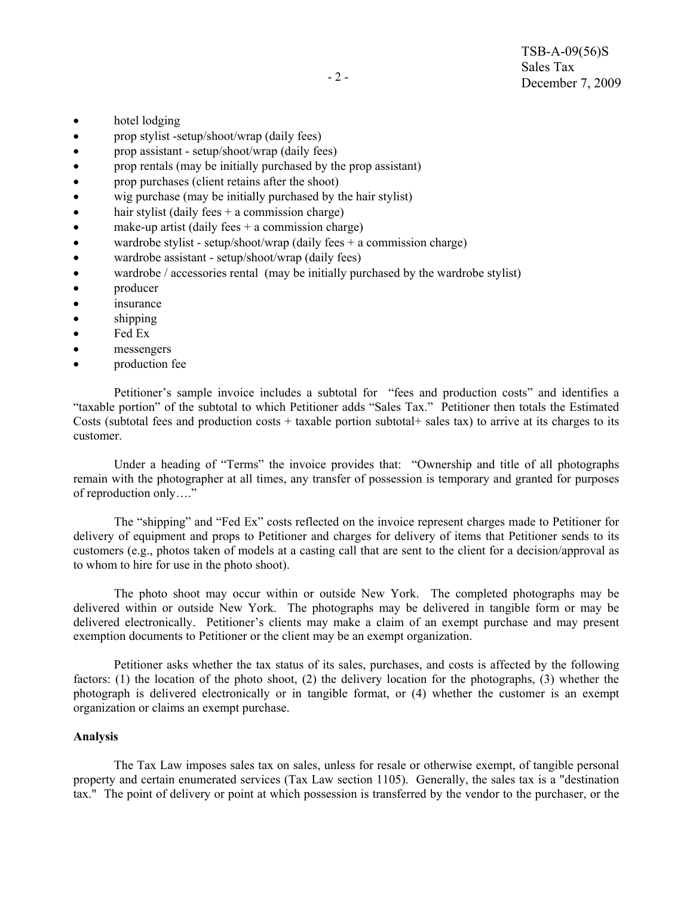- hotel lodging
- prop stylist -setup/shoot/wrap (daily fees)
- prop assistant setup/shoot/wrap (daily fees)
- prop rentals (may be initially purchased by the prop assistant)
- prop purchases (client retains after the shoot)
- wig purchase (may be initially purchased by the hair stylist)
- hair stylist (daily fees  $+$  a commission charge)
- make-up artist (daily fees  $+$  a commission charge)
- wardrobe stylist setup/shoot/wrap (daily fees  $+$  a commission charge)
- wardrobe assistant setup/shoot/wrap (daily fees)
- wardrobe / accessories rental (may be initially purchased by the wardrobe stylist)
- **producer**
- insurance
- shipping
- Fed Ex
- messengers
- production fee

Petitioner's sample invoice includes a subtotal for "fees and production costs" and identifies a "taxable portion" of the subtotal to which Petitioner adds "Sales Tax." Petitioner then totals the Estimated Costs (subtotal fees and production costs  $+$  taxable portion subtotal  $+$  sales tax) to arrive at its charges to its customer.

Under a heading of "Terms" the invoice provides that: "Ownership and title of all photographs remain with the photographer at all times, any transfer of possession is temporary and granted for purposes of reproduction only…."

The "shipping" and "Fed Ex" costs reflected on the invoice represent charges made to Petitioner for delivery of equipment and props to Petitioner and charges for delivery of items that Petitioner sends to its customers (e.g., photos taken of models at a casting call that are sent to the client for a decision/approval as to whom to hire for use in the photo shoot).

The photo shoot may occur within or outside New York. The completed photographs may be delivered within or outside New York. The photographs may be delivered in tangible form or may be delivered electronically. Petitioner's clients may make a claim of an exempt purchase and may present exemption documents to Petitioner or the client may be an exempt organization.

Petitioner asks whether the tax status of its sales, purchases, and costs is affected by the following factors: (1) the location of the photo shoot, (2) the delivery location for the photographs, (3) whether the photograph is delivered electronically or in tangible format, or (4) whether the customer is an exempt organization or claims an exempt purchase.

### **Analysis**

The Tax Law imposes sales tax on sales, unless for resale or otherwise exempt, of tangible personal property and certain enumerated services (Tax Law section 1105). Generally, the sales tax is a "destination tax." The point of delivery or point at which possession is transferred by the vendor to the purchaser, or the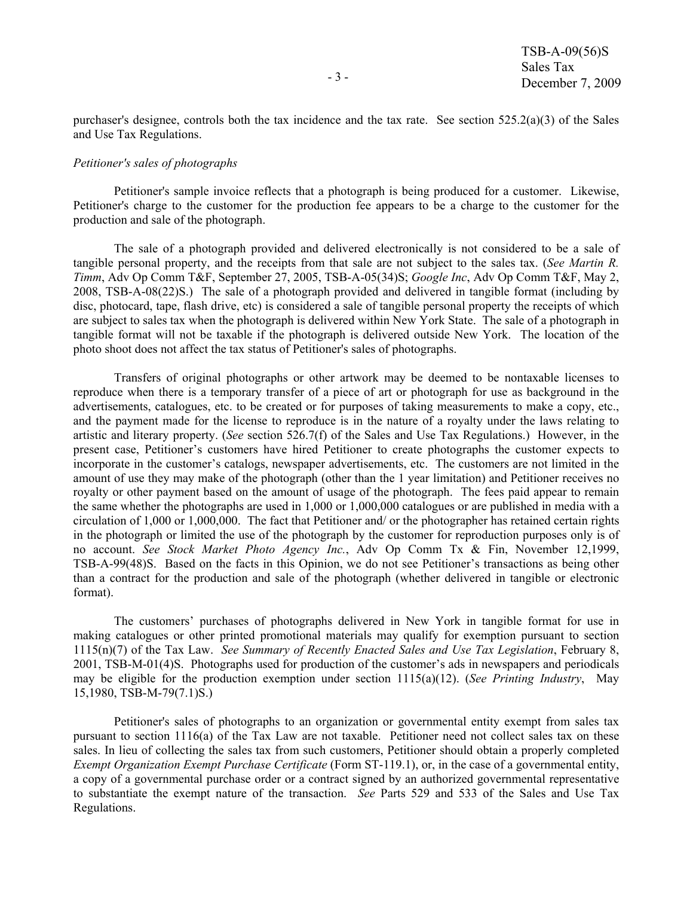purchaser's designee, controls both the tax incidence and the tax rate. See section  $525.2(a)(3)$  of the Sales and Use Tax Regulations.

#### *Petitioner's sales of photographs*

Petitioner's sample invoice reflects that a photograph is being produced for a customer. Likewise, Petitioner's charge to the customer for the production fee appears to be a charge to the customer for the production and sale of the photograph.

The sale of a photograph provided and delivered electronically is not considered to be a sale of tangible personal property, and the receipts from that sale are not subject to the sales tax. (*See Martin R. Timm*, Adv Op Comm T&F, September 27, 2005, TSB-A-05(34)S; *Google Inc*, Adv Op Comm T&F, May 2, 2008, TSB-A-08(22)S.) The sale of a photograph provided and delivered in tangible format (including by disc, photocard, tape, flash drive, etc) is considered a sale of tangible personal property the receipts of which are subject to sales tax when the photograph is delivered within New York State. The sale of a photograph in tangible format will not be taxable if the photograph is delivered outside New York. The location of the photo shoot does not affect the tax status of Petitioner's sales of photographs.

Transfers of original photographs or other artwork may be deemed to be nontaxable licenses to reproduce when there is a temporary transfer of a piece of art or photograph for use as background in the advertisements, catalogues, etc. to be created or for purposes of taking measurements to make a copy, etc., and the payment made for the license to reproduce is in the nature of a royalty under the laws relating to artistic and literary property. (*See* section 526.7(f) of the Sales and Use Tax Regulations.) However, in the present case, Petitioner's customers have hired Petitioner to create photographs the customer expects to incorporate in the customer's catalogs, newspaper advertisements, etc. The customers are not limited in the amount of use they may make of the photograph (other than the 1 year limitation) and Petitioner receives no royalty or other payment based on the amount of usage of the photograph. The fees paid appear to remain the same whether the photographs are used in 1,000 or 1,000,000 catalogues or are published in media with a circulation of 1,000 or 1,000,000. The fact that Petitioner and/ or the photographer has retained certain rights in the photograph or limited the use of the photograph by the customer for reproduction purposes only is of no account. *See Stock Market Photo Agency Inc.*, Adv Op Comm Tx & Fin, November 12,1999, TSB-A-99(48)S. Based on the facts in this Opinion, we do not see Petitioner's transactions as being other than a contract for the production and sale of the photograph (whether delivered in tangible or electronic format).

The customers' purchases of photographs delivered in New York in tangible format for use in making catalogues or other printed promotional materials may qualify for exemption pursuant to section 1115(n)(7) of the Tax Law. *See Summary of Recently Enacted Sales and Use Tax Legislation*, February 8, 2001, TSB-M-01(4)S. Photographs used for production of the customer's ads in newspapers and periodicals may be eligible for the production exemption under section 1115(a)(12). (*See Printing Industry*, May 15,1980, TSB-M-79(7.1)S.)

Petitioner's sales of photographs to an organization or governmental entity exempt from sales tax pursuant to section 1116(a) of the Tax Law are not taxable. Petitioner need not collect sales tax on these sales. In lieu of collecting the sales tax from such customers, Petitioner should obtain a properly completed *Exempt Organization Exempt Purchase Certificate* (Form ST-119.1), or, in the case of a governmental entity, a copy of a governmental purchase order or a contract signed by an authorized governmental representative to substantiate the exempt nature of the transaction. *See* Parts 529 and 533 of the Sales and Use Tax Regulations.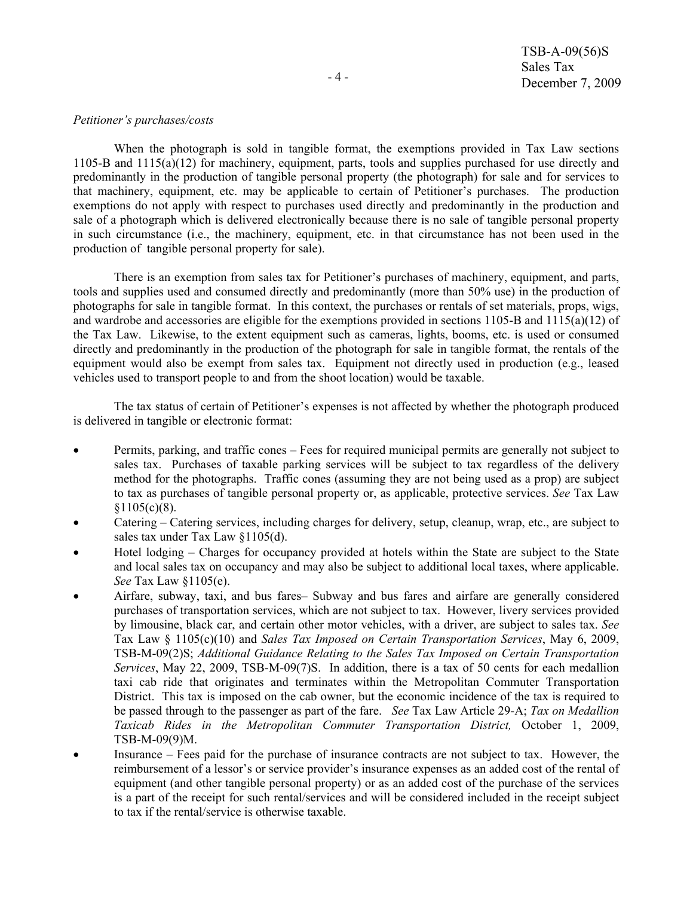#### *Petitioner's purchases/costs*

When the photograph is sold in tangible format, the exemptions provided in Tax Law sections 1105-B and 1115(a)(12) for machinery, equipment, parts, tools and supplies purchased for use directly and predominantly in the production of tangible personal property (the photograph) for sale and for services to that machinery, equipment, etc. may be applicable to certain of Petitioner's purchases. The production exemptions do not apply with respect to purchases used directly and predominantly in the production and sale of a photograph which is delivered electronically because there is no sale of tangible personal property in such circumstance (i.e., the machinery, equipment, etc. in that circumstance has not been used in the production of tangible personal property for sale).

There is an exemption from sales tax for Petitioner's purchases of machinery, equipment, and parts, tools and supplies used and consumed directly and predominantly (more than 50% use) in the production of photographs for sale in tangible format. In this context, the purchases or rentals of set materials, props, wigs, and wardrobe and accessories are eligible for the exemptions provided in sections 1105-B and 1115(a)(12) of the Tax Law. Likewise, to the extent equipment such as cameras, lights, booms, etc. is used or consumed directly and predominantly in the production of the photograph for sale in tangible format, the rentals of the equipment would also be exempt from sales tax. Equipment not directly used in production (e.g., leased vehicles used to transport people to and from the shoot location) would be taxable.

The tax status of certain of Petitioner's expenses is not affected by whether the photograph produced is delivered in tangible or electronic format:

- Permits, parking, and traffic cones Fees for required municipal permits are generally not subject to sales tax. Purchases of taxable parking services will be subject to tax regardless of the delivery method for the photographs. Traffic cones (assuming they are not being used as a prop) are subject to tax as purchases of tangible personal property or, as applicable, protective services. *See* Tax Law  $$1105(c)(8)$ .
- Catering Catering services, including charges for delivery, setup, cleanup, wrap, etc., are subject to sales tax under Tax Law §1105(d).
- Hotel lodging Charges for occupancy provided at hotels within the State are subject to the State and local sales tax on occupancy and may also be subject to additional local taxes, where applicable. *See* Tax Law §1105(e).
- Airfare, subway, taxi, and bus fares– Subway and bus fares and airfare are generally considered purchases of transportation services, which are not subject to tax. However, livery services provided by limousine, black car, and certain other motor vehicles, with a driver, are subject to sales tax. *See*  Tax Law § 1105(c)(10) and *Sales Tax Imposed on Certain Transportation Services*, May 6, 2009, TSB-M-09(2)S; *Additional Guidance Relating to the Sales Tax Imposed on Certain Transportation Services*, May 22, 2009, TSB-M-09(7)S. In addition, there is a tax of 50 cents for each medallion taxi cab ride that originates and terminates within the Metropolitan Commuter Transportation District. This tax is imposed on the cab owner, but the economic incidence of the tax is required to be passed through to the passenger as part of the fare. *See* Tax Law Article 29-A; *Tax on Medallion Taxicab Rides in the Metropolitan Commuter Transportation District,* October 1, 2009, TSB-M-09(9)M.
- Insurance Fees paid for the purchase of insurance contracts are not subject to tax. However, the reimbursement of a lessor's or service provider's insurance expenses as an added cost of the rental of equipment (and other tangible personal property) or as an added cost of the purchase of the services is a part of the receipt for such rental/services and will be considered included in the receipt subject to tax if the rental/service is otherwise taxable.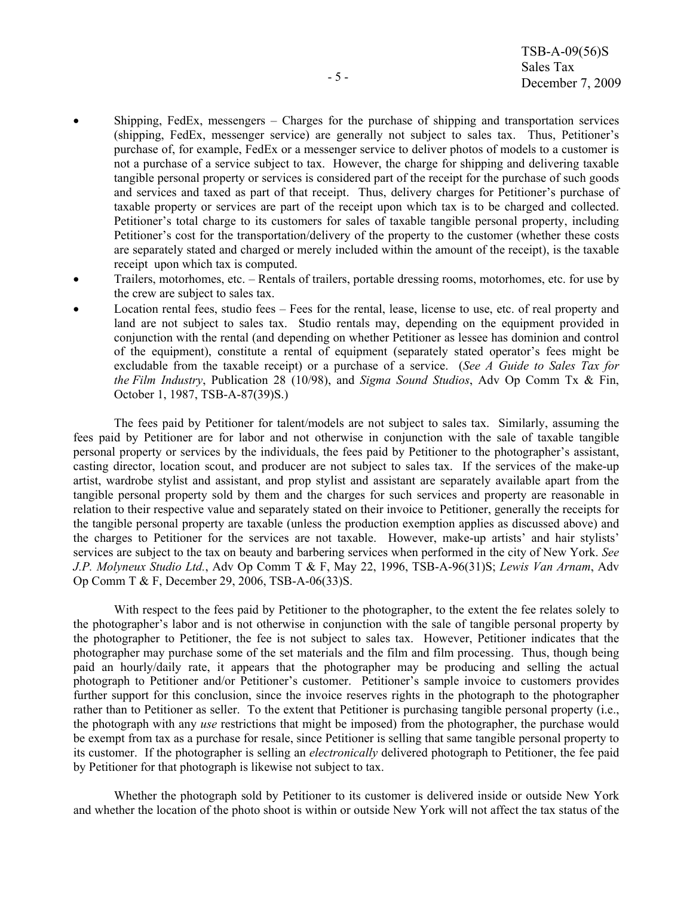- Shipping, FedEx, messengers  $-$  Charges for the purchase of shipping and transportation services (shipping, FedEx, messenger service) are generally not subject to sales tax. Thus, Petitioner's purchase of, for example, FedEx or a messenger service to deliver photos of models to a customer is not a purchase of a service subject to tax. However, the charge for shipping and delivering taxable tangible personal property or services is considered part of the receipt for the purchase of such goods and services and taxed as part of that receipt. Thus, delivery charges for Petitioner's purchase of taxable property or services are part of the receipt upon which tax is to be charged and collected. Petitioner's total charge to its customers for sales of taxable tangible personal property, including Petitioner's cost for the transportation/delivery of the property to the customer (whether these costs are separately stated and charged or merely included within the amount of the receipt), is the taxable receipt upon which tax is computed.
- Trailers, motorhomes, etc. Rentals of trailers, portable dressing rooms, motorhomes, etc. for use by the crew are subject to sales tax.
- Location rental fees, studio fees Fees for the rental, lease, license to use, etc. of real property and land are not subject to sales tax. Studio rentals may, depending on the equipment provided in conjunction with the rental (and depending on whether Petitioner as lessee has dominion and control of the equipment), constitute a rental of equipment (separately stated operator's fees might be excludable from the taxable receipt) or a purchase of a service. (*See A Guide to Sales Tax for the Film Industry*, Publication 28 (10/98), and *Sigma Sound Studios*, Adv Op Comm Tx & Fin, October 1, 1987, TSB-A-87(39)S.)

The fees paid by Petitioner for talent/models are not subject to sales tax. Similarly, assuming the fees paid by Petitioner are for labor and not otherwise in conjunction with the sale of taxable tangible personal property or services by the individuals, the fees paid by Petitioner to the photographer's assistant, casting director, location scout, and producer are not subject to sales tax. If the services of the make-up artist, wardrobe stylist and assistant, and prop stylist and assistant are separately available apart from the tangible personal property sold by them and the charges for such services and property are reasonable in relation to their respective value and separately stated on their invoice to Petitioner, generally the receipts for the tangible personal property are taxable (unless the production exemption applies as discussed above) and the charges to Petitioner for the services are not taxable. However, make-up artists' and hair stylists' services are subject to the tax on beauty and barbering services when performed in the city of New York. *See J.P. Molyneux Studio Ltd.*, Adv Op Comm T & F, May 22, 1996, TSB-A-96(31)S; *Lewis Van Arnam*, Adv Op Comm T & F, December 29, 2006, TSB-A-06(33)S.

With respect to the fees paid by Petitioner to the photographer, to the extent the fee relates solely to the photographer's labor and is not otherwise in conjunction with the sale of tangible personal property by the photographer to Petitioner, the fee is not subject to sales tax. However, Petitioner indicates that the photographer may purchase some of the set materials and the film and film processing. Thus, though being paid an hourly/daily rate, it appears that the photographer may be producing and selling the actual photograph to Petitioner and/or Petitioner's customer. Petitioner's sample invoice to customers provides further support for this conclusion, since the invoice reserves rights in the photograph to the photographer rather than to Petitioner as seller. To the extent that Petitioner is purchasing tangible personal property (i.e., the photograph with any *use* restrictions that might be imposed) from the photographer, the purchase would be exempt from tax as a purchase for resale, since Petitioner is selling that same tangible personal property to its customer. If the photographer is selling an *electronically* delivered photograph to Petitioner, the fee paid by Petitioner for that photograph is likewise not subject to tax.

Whether the photograph sold by Petitioner to its customer is delivered inside or outside New York and whether the location of the photo shoot is within or outside New York will not affect the tax status of the